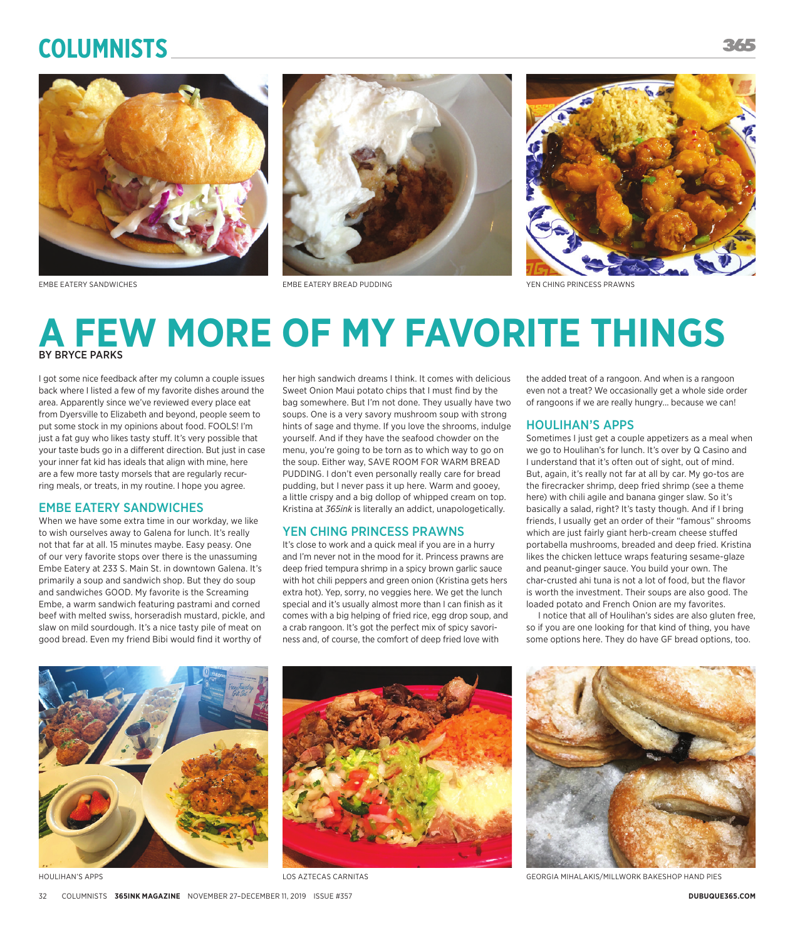# **Columnists**



EMBE EATERY SANDWICHES EXAMPLES EXAMPLE AT THE EATERY BREAD PUDDING THE SAMPLE OF THE SERVICES PRAWNS FOR THE SERVICES SPRAWNS





## **A FEW MORE OF MY FAVORITE THINGS** BY BRYCE PARKS

I got some nice feedback after my column a couple issues back where I listed a few of my favorite dishes around the area. Apparently since we've reviewed every place eat from Dyersville to Elizabeth and beyond, people seem to put some stock in my opinions about food. FOOLS! I'm just a fat guy who likes tasty stuff. It's very possible that your taste buds go in a different direction. But just in case your inner fat kid has ideals that align with mine, here are a few more tasty morsels that are regularly recurring meals, or treats, in my routine. I hope you agree.

#### EMBE EATERY SANDWICHES

When we have some extra time in our workday, we like to wish ourselves away to Galena for lunch. It's really not that far at all. 15 minutes maybe. Easy peasy. One of our very favorite stops over there is the unassuming Embe Eatery at 233 S. Main St. in downtown Galena. It's primarily a soup and sandwich shop. But they do soup and sandwiches GOOD. My favorite is the Screaming Embe, a warm sandwich featuring pastrami and corned beef with melted swiss, horseradish mustard, pickle, and slaw on mild sourdough. It's a nice tasty pile of meat on good bread. Even my friend Bibi would find it worthy of

her high sandwich dreams I think. It comes with delicious Sweet Onion Maui potato chips that I must find by the bag somewhere. But I'm not done. They usually have two soups. One is a very savory mushroom soup with strong hints of sage and thyme. If you love the shrooms, indulge yourself. And if they have the seafood chowder on the menu, you're going to be torn as to which way to go on the soup. Either way, SAVE ROOM FOR WARM BREAD PUDDING. I don't even personally really care for bread pudding, but I never pass it up here. Warm and gooey, a little crispy and a big dollop of whipped cream on top. Kristina at *365ink* is literally an addict, unapologetically.

### YEN CHING PRINCESS PRAWNS

It's close to work and a quick meal if you are in a hurry and I'm never not in the mood for it. Princess prawns are deep fried tempura shrimp in a spicy brown garlic sauce with hot chili peppers and green onion (Kristina gets hers extra hot). Yep, sorry, no veggies here. We get the lunch special and it's usually almost more than I can finish as it comes with a big helping of fried rice, egg drop soup, and a crab rangoon. It's got the perfect mix of spicy savoriness and, of course, the comfort of deep fried love with

the added treat of a rangoon. And when is a rangoon even not a treat? We occasionally get a whole side order of rangoons if we are really hungry... because we can!

#### HOULIHAN'S APPS

Sometimes I just get a couple appetizers as a meal when we go to Houlihan's for lunch. It's over by Q Casino and I understand that it's often out of sight, out of mind. But, again, it's really not far at all by car. My go-tos are the firecracker shrimp, deep fried shrimp (see a theme here) with chili agile and banana ginger slaw. So it's basically a salad, right? It's tasty though. And if I bring friends, I usually get an order of their "famous" shrooms which are just fairly giant herb-cream cheese stuffed portabella mushrooms, breaded and deep fried. Kristina likes the chicken lettuce wraps featuring sesame-glaze and peanut-ginger sauce. You build your own. The char-crusted ahi tuna is not a lot of food, but the flavor is worth the investment. Their soups are also good. The loaded potato and French Onion are my favorites.

I notice that all of Houlihan's sides are also gluten free, so if you are one looking for that kind of thing, you have some options here. They do have GF bread options, too.